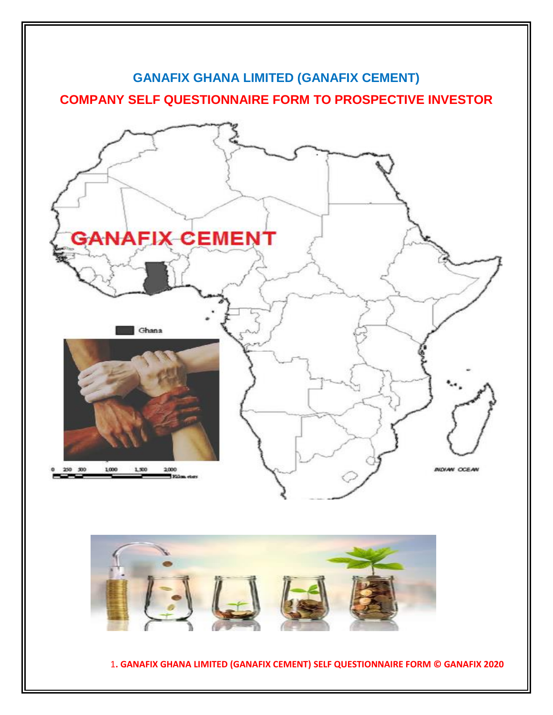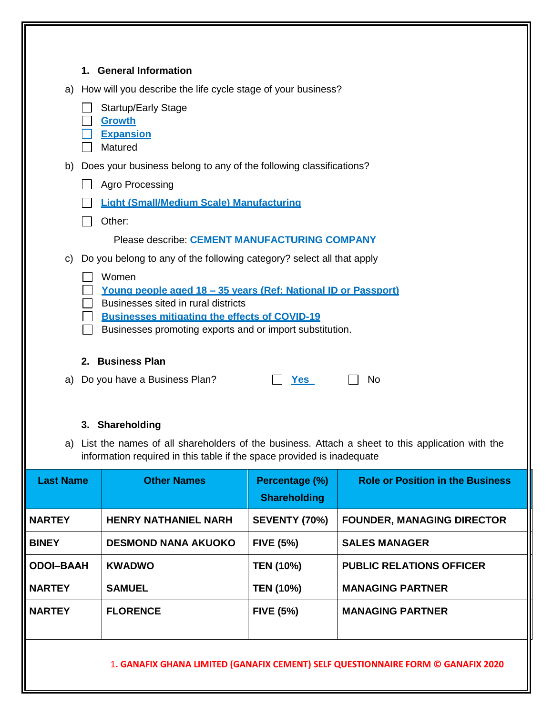| 1. General Information                                                                                                                                                       |
|------------------------------------------------------------------------------------------------------------------------------------------------------------------------------|
| a) How will you describe the life cycle stage of your business?                                                                                                              |
| <b>Startup/Early Stage</b>                                                                                                                                                   |
| <b>Growth</b><br><b>Expansion</b>                                                                                                                                            |
| Matured                                                                                                                                                                      |
| b) Does your business belong to any of the following classifications?                                                                                                        |
| Agro Processing                                                                                                                                                              |
| <b>Light (Small/Medium Scale) Manufacturing</b>                                                                                                                              |
| Other:                                                                                                                                                                       |
| <b>Please describe: CEMENT MANUFACTURING COMPANY</b>                                                                                                                         |
| c) Do you belong to any of the following category? select all that apply                                                                                                     |
| Women                                                                                                                                                                        |
| <u>Young people aged 18 - 35 years (Ref: National ID or Passport)</u>                                                                                                        |
| Businesses sited in rural districts<br><b>Businesses mitigating the effects of COVID-19</b>                                                                                  |
| Businesses promoting exports and or import substitution.                                                                                                                     |
|                                                                                                                                                                              |
| 2. Business Plan                                                                                                                                                             |
| a) Do you have a Business Plan?<br><b>No</b><br><u>Yes</u>                                                                                                                   |
|                                                                                                                                                                              |
| 3. Shareholding                                                                                                                                                              |
| a) List the names of all shareholders of the business. Attach a sheet to this application with the<br>information required in this table if the space provided is inadequate |
|                                                                                                                                                                              |

| <b>Last Name</b> | <b>Other Names</b>          | Percentage (%)<br><b>Shareholding</b> | <b>Role or Position in the Business</b> |
|------------------|-----------------------------|---------------------------------------|-----------------------------------------|
| <b>NARTEY</b>    | <b>HENRY NATHANIEL NARH</b> | <b>SEVENTY (70%)</b>                  | <b>FOUNDER, MANAGING DIRECTOR</b>       |
| <b>BINEY</b>     | <b>DESMOND NANA AKUOKO</b>  | <b>FIVE (5%)</b>                      | <b>SALES MANAGER</b>                    |
| <b>ODOI-BAAH</b> | <b>KWADWO</b>               | <b>TEN (10%)</b>                      | <b>PUBLIC RELATIONS OFFICER</b>         |
| <b>NARTEY</b>    | <b>SAMUEL</b>               | <b>TEN (10%)</b>                      | <b>MANAGING PARTNER</b>                 |
| <b>NARTEY</b>    | <b>FLORENCE</b>             | <b>FIVE (5%)</b>                      | <b>MANAGING PARTNER</b>                 |
|                  |                             |                                       |                                         |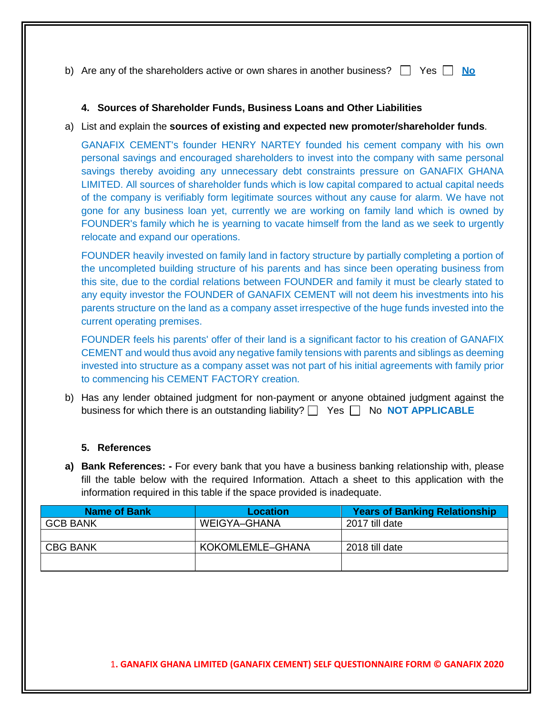b) Are any of the shareholders active or own shares in another business?  $\Box$  Yes  $\Box$  No

# **4. Sources of Shareholder Funds, Business Loans and Other Liabilities**

a) List and explain the **sources of existing and expected new promoter/shareholder funds**.

GANAFIX CEMENT's founder HENRY NARTEY founded his cement company with his own personal savings and encouraged shareholders to invest into the company with same personal savings thereby avoiding any unnecessary debt constraints pressure on GANAFIX GHANA LIMITED. All sources of shareholder funds which is low capital compared to actual capital needs of the company is verifiably form legitimate sources without any cause for alarm. We have not gone for any business loan yet, currently we are working on family land which is owned by FOUNDER's family which he is yearning to vacate himself from the land as we seek to urgently relocate and expand our operations.

FOUNDER heavily invested on family land in factory structure by partially completing a portion of the uncompleted building structure of his parents and has since been operating business from this site, due to the cordial relations between FOUNDER and family it must be clearly stated to any equity investor the FOUNDER of GANAFIX CEMENT will not deem his investments into his parents structure on the land as a company asset irrespective of the huge funds invested into the current operating premises.

FOUNDER feels his parents' offer of their land is a significant factor to his creation of GANAFIX CEMENT and would thus avoid any negative family tensions with parents and siblings as deeming invested into structure as a company asset was not part of his initial agreements with family prior to commencing his CEMENT FACTORY creation.

b) Has any lender obtained judgment for non-payment or anyone obtained judgment against the business for which there is an outstanding liability?  $\Box$  Yes  $\Box$  No **NOT APPLICABLE** 

# **5. References**

**a) Bank References: -** For every bank that you have a business banking relationship with, please fill the table below with the required Information. Attach a sheet to this application with the information required in this table if the space provided is inadequate.

| <b>Name of Bank</b> | Location         | <b>Years of Banking Relationship</b> |
|---------------------|------------------|--------------------------------------|
| <b>GCB BANK</b>     | WEIGYA-GHANA     | 2017 till date                       |
|                     |                  |                                      |
| <b>CBG BANK</b>     | KOKOMLEMLE-GHANA | 2018 till date                       |
|                     |                  |                                      |
|                     |                  |                                      |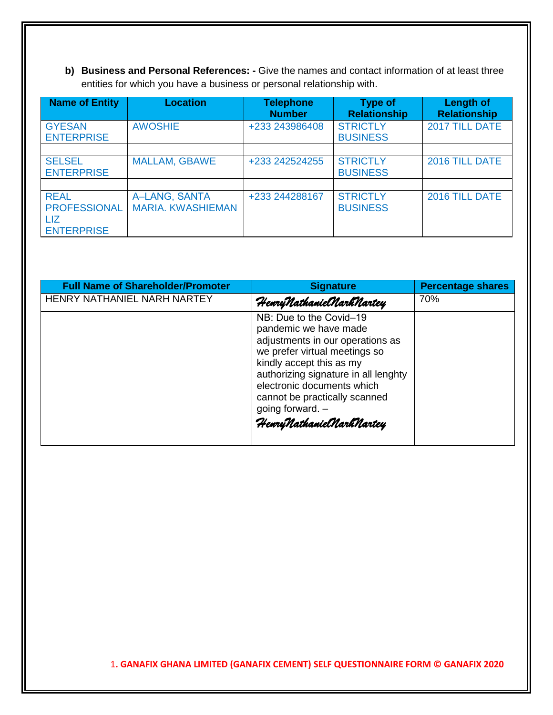**b) Business and Personal References: -** Give the names and contact information of at least three entities for which you have a business or personal relationship with.

| <b>Name of Entity</b>                                          | <b>Location</b>                           | <b>Telephone</b><br><b>Number</b> | <b>Type of</b><br><b>Relationship</b> | <b>Length of</b><br><b>Relationship</b> |
|----------------------------------------------------------------|-------------------------------------------|-----------------------------------|---------------------------------------|-----------------------------------------|
| <b>GYESAN</b><br><b>ENTERPRISE</b>                             | <b>AWOSHIE</b>                            | +233 243986408                    | <b>STRICTLY</b><br><b>BUSINESS</b>    | 2017 TILL DATE                          |
|                                                                |                                           |                                   |                                       |                                         |
| <b>SELSEL</b><br><b>ENTERPRISE</b>                             | <b>MALLAM, GBAWE</b>                      | +233 242524255                    | <b>STRICTLY</b><br><b>BUSINESS</b>    | 2016 TILL DATE                          |
|                                                                |                                           |                                   |                                       |                                         |
| <b>REAL</b><br><b>PROFESSIONAL</b><br>LIZ<br><b>ENTERPRISE</b> | A-LANG, SANTA<br><b>MARIA. KWASHIEMAN</b> | +233 244288167                    | <b>STRICTLY</b><br><b>BUSINESS</b>    | 2016 TILL DATE                          |

| <b>Full Name of Shareholder/Promoter</b> | <b>Signature</b>                                                                                                                                                                                                                                                                                         | <b>Percentage shares</b> |
|------------------------------------------|----------------------------------------------------------------------------------------------------------------------------------------------------------------------------------------------------------------------------------------------------------------------------------------------------------|--------------------------|
| <b>HENRY NATHANIEL NARH NARTEY</b>       | HenryNathanielNarhNartey                                                                                                                                                                                                                                                                                 | 70%                      |
|                                          | NB: Due to the Covid-19<br>pandemic we have made<br>adjustments in our operations as<br>we prefer virtual meetings so<br>kindly accept this as my<br>authorizing signature in all lenghty<br>electronic documents which<br>cannot be practically scanned<br>going forward. -<br>HenryNathanielNarhNartey |                          |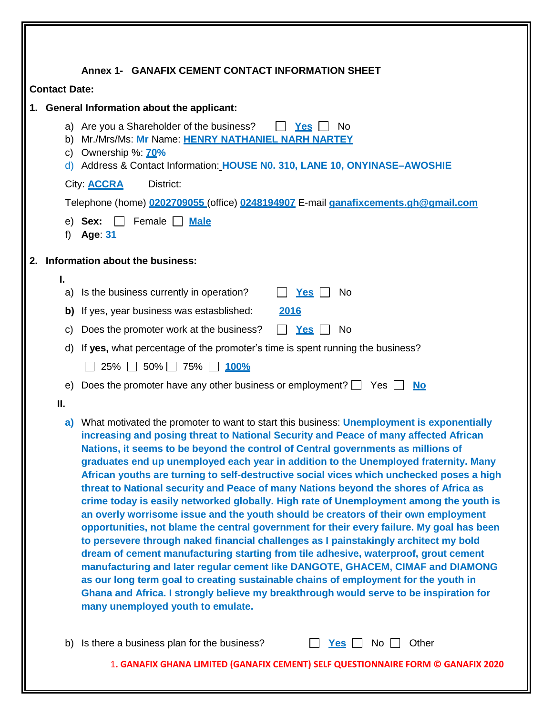|                                                                                         | Annex 1- GANAFIX CEMENT CONTACT INFORMATION SHEET                                                                                                                                                                                                                                                                                                                                                                                                                                                                                                                                                                                                                                                                                                                                                                                                                                                                                                                                                                                                                                                                                                                                                                                                                                                                     |  |  |
|-----------------------------------------------------------------------------------------|-----------------------------------------------------------------------------------------------------------------------------------------------------------------------------------------------------------------------------------------------------------------------------------------------------------------------------------------------------------------------------------------------------------------------------------------------------------------------------------------------------------------------------------------------------------------------------------------------------------------------------------------------------------------------------------------------------------------------------------------------------------------------------------------------------------------------------------------------------------------------------------------------------------------------------------------------------------------------------------------------------------------------------------------------------------------------------------------------------------------------------------------------------------------------------------------------------------------------------------------------------------------------------------------------------------------------|--|--|
| <b>Contact Date:</b>                                                                    |                                                                                                                                                                                                                                                                                                                                                                                                                                                                                                                                                                                                                                                                                                                                                                                                                                                                                                                                                                                                                                                                                                                                                                                                                                                                                                                       |  |  |
|                                                                                         | 1. General Information about the applicant:                                                                                                                                                                                                                                                                                                                                                                                                                                                                                                                                                                                                                                                                                                                                                                                                                                                                                                                                                                                                                                                                                                                                                                                                                                                                           |  |  |
|                                                                                         | a) Are you a Shareholder of the business?<br><u>Yes</u><br>No.                                                                                                                                                                                                                                                                                                                                                                                                                                                                                                                                                                                                                                                                                                                                                                                                                                                                                                                                                                                                                                                                                                                                                                                                                                                        |  |  |
| Mr./Mrs/Ms: Mr Name: HENRY NATHANIEL NARH NARTEY<br>b)<br>Ownership %: <b>70%</b><br>C) |                                                                                                                                                                                                                                                                                                                                                                                                                                                                                                                                                                                                                                                                                                                                                                                                                                                                                                                                                                                                                                                                                                                                                                                                                                                                                                                       |  |  |
|                                                                                         | d) Address & Contact Information: HOUSE N0. 310, LANE 10, ONYINASE-AWOSHIE                                                                                                                                                                                                                                                                                                                                                                                                                                                                                                                                                                                                                                                                                                                                                                                                                                                                                                                                                                                                                                                                                                                                                                                                                                            |  |  |
|                                                                                         | District:<br>City: <b>ACCRA</b>                                                                                                                                                                                                                                                                                                                                                                                                                                                                                                                                                                                                                                                                                                                                                                                                                                                                                                                                                                                                                                                                                                                                                                                                                                                                                       |  |  |
|                                                                                         | Telephone (home) 0202709055 (office) 0248194907 E-mail ganafixcements.gh@gmail.com                                                                                                                                                                                                                                                                                                                                                                                                                                                                                                                                                                                                                                                                                                                                                                                                                                                                                                                                                                                                                                                                                                                                                                                                                                    |  |  |
| f)                                                                                      | Female $\Box$<br><b>Male</b><br>e) Sex:<br>Age: 31                                                                                                                                                                                                                                                                                                                                                                                                                                                                                                                                                                                                                                                                                                                                                                                                                                                                                                                                                                                                                                                                                                                                                                                                                                                                    |  |  |
|                                                                                         | 2. Information about the business:                                                                                                                                                                                                                                                                                                                                                                                                                                                                                                                                                                                                                                                                                                                                                                                                                                                                                                                                                                                                                                                                                                                                                                                                                                                                                    |  |  |
| I.                                                                                      | a) Is the business currently in operation?<br>$Yes$ $\Box$<br>No.                                                                                                                                                                                                                                                                                                                                                                                                                                                                                                                                                                                                                                                                                                                                                                                                                                                                                                                                                                                                                                                                                                                                                                                                                                                     |  |  |
|                                                                                         | b) If yes, year business was estasblished:<br>2016                                                                                                                                                                                                                                                                                                                                                                                                                                                                                                                                                                                                                                                                                                                                                                                                                                                                                                                                                                                                                                                                                                                                                                                                                                                                    |  |  |
| C)                                                                                      | Does the promoter work at the business?<br><b>Yes</b><br><b>No</b><br>$\mathbf{L}$                                                                                                                                                                                                                                                                                                                                                                                                                                                                                                                                                                                                                                                                                                                                                                                                                                                                                                                                                                                                                                                                                                                                                                                                                                    |  |  |
| d)                                                                                      | If yes, what percentage of the promoter's time is spent running the business?                                                                                                                                                                                                                                                                                                                                                                                                                                                                                                                                                                                                                                                                                                                                                                                                                                                                                                                                                                                                                                                                                                                                                                                                                                         |  |  |
| $25\%$ 50% 75% $100\%$                                                                  |                                                                                                                                                                                                                                                                                                                                                                                                                                                                                                                                                                                                                                                                                                                                                                                                                                                                                                                                                                                                                                                                                                                                                                                                                                                                                                                       |  |  |
| e)                                                                                      | Does the promoter have any other business or employment? $\Box$ Yes $\Box$<br><u>No</u>                                                                                                                                                                                                                                                                                                                                                                                                                                                                                                                                                                                                                                                                                                                                                                                                                                                                                                                                                                                                                                                                                                                                                                                                                               |  |  |
| Ш.                                                                                      |                                                                                                                                                                                                                                                                                                                                                                                                                                                                                                                                                                                                                                                                                                                                                                                                                                                                                                                                                                                                                                                                                                                                                                                                                                                                                                                       |  |  |
| a)                                                                                      | What motivated the promoter to want to start this business: Unemployment is exponentially<br>increasing and posing threat to National Security and Peace of many affected African<br>Nations, it seems to be beyond the control of Central governments as millions of<br>graduates end up unemployed each year in addition to the Unemployed fraternity. Many<br>African youths are turning to self-destructive social vices which unchecked poses a high<br>threat to National security and Peace of many Nations beyond the shores of Africa as<br>crime today is easily networked globally. High rate of Unemployment among the youth is<br>an overly worrisome issue and the youth should be creators of their own employment<br>opportunities, not blame the central government for their every failure. My goal has been<br>to persevere through naked financial challenges as I painstakingly architect my bold<br>dream of cement manufacturing starting from tile adhesive, waterproof, grout cement<br>manufacturing and later regular cement like DANGOTE, GHACEM, CIMAF and DIAMONG<br>as our long term goal to creating sustainable chains of employment for the youth in<br>Ghana and Africa. I strongly believe my breakthrough would serve to be inspiration for<br>many unemployed youth to emulate. |  |  |
|                                                                                         | b) Is there a business plan for the business?<br>Other<br>$Yes$ $\Box$<br>No <sub>1</sub>                                                                                                                                                                                                                                                                                                                                                                                                                                                                                                                                                                                                                                                                                                                                                                                                                                                                                                                                                                                                                                                                                                                                                                                                                             |  |  |
|                                                                                         | 1. GANAFIX GHANA LIMITED (GANAFIX CEMENT) SELF QUESTIONNAIRE FORM © GANAFIX 2020                                                                                                                                                                                                                                                                                                                                                                                                                                                                                                                                                                                                                                                                                                                                                                                                                                                                                                                                                                                                                                                                                                                                                                                                                                      |  |  |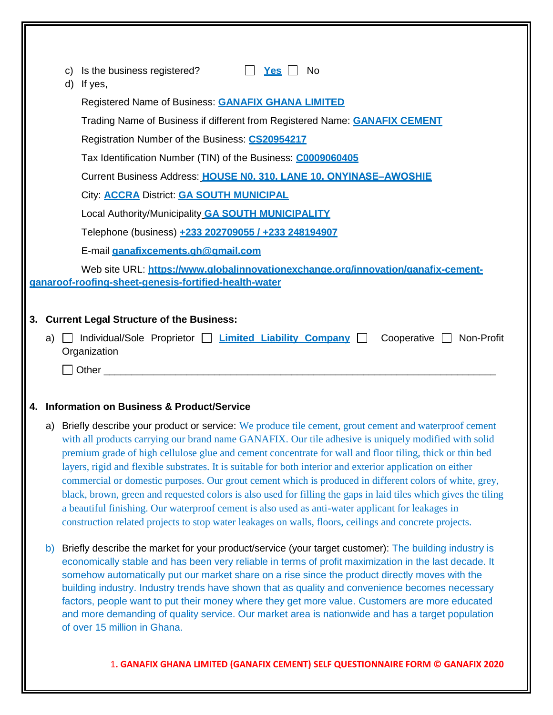|    | C) | Is the business registered?<br>$Yes$  <br><b>No</b><br>d) If yes,                                                                                                                                                                                                                                                                                                                                                                                                                                                                                                                                                                                                                                                                                                                                                                                                                   |
|----|----|-------------------------------------------------------------------------------------------------------------------------------------------------------------------------------------------------------------------------------------------------------------------------------------------------------------------------------------------------------------------------------------------------------------------------------------------------------------------------------------------------------------------------------------------------------------------------------------------------------------------------------------------------------------------------------------------------------------------------------------------------------------------------------------------------------------------------------------------------------------------------------------|
|    |    | Registered Name of Business: <b>GANAFIX GHANA LIMITED</b>                                                                                                                                                                                                                                                                                                                                                                                                                                                                                                                                                                                                                                                                                                                                                                                                                           |
|    |    | Trading Name of Business if different from Registered Name: <b>GANAFIX CEMENT</b>                                                                                                                                                                                                                                                                                                                                                                                                                                                                                                                                                                                                                                                                                                                                                                                                   |
|    |    | Registration Number of the Business: CS20954217                                                                                                                                                                                                                                                                                                                                                                                                                                                                                                                                                                                                                                                                                                                                                                                                                                     |
|    |    | Tax Identification Number (TIN) of the Business: C0009060405                                                                                                                                                                                                                                                                                                                                                                                                                                                                                                                                                                                                                                                                                                                                                                                                                        |
|    |    | Current Business Address: HOUSE N0. 310. LANE 10. ONYINASE-AWOSHIE                                                                                                                                                                                                                                                                                                                                                                                                                                                                                                                                                                                                                                                                                                                                                                                                                  |
|    |    | City: <b>ACCRA District: GA SOUTH MUNICIPAL</b>                                                                                                                                                                                                                                                                                                                                                                                                                                                                                                                                                                                                                                                                                                                                                                                                                                     |
|    |    | Local Authority/Municipality <b>GA SOUTH MUNICIPALITY</b>                                                                                                                                                                                                                                                                                                                                                                                                                                                                                                                                                                                                                                                                                                                                                                                                                           |
|    |    | Telephone (business) +233 202709055 / +233 248194907                                                                                                                                                                                                                                                                                                                                                                                                                                                                                                                                                                                                                                                                                                                                                                                                                                |
|    |    | E-mail ganafixcements.gh@gmail.com                                                                                                                                                                                                                                                                                                                                                                                                                                                                                                                                                                                                                                                                                                                                                                                                                                                  |
|    |    | Web site URL: https://www.globalinnovationexchange.org/innovation/ganafix-cement-                                                                                                                                                                                                                                                                                                                                                                                                                                                                                                                                                                                                                                                                                                                                                                                                   |
|    |    | ganaroof-roofing-sheet-genesis-fortified-health-water                                                                                                                                                                                                                                                                                                                                                                                                                                                                                                                                                                                                                                                                                                                                                                                                                               |
|    |    | 3. Current Legal Structure of the Business:                                                                                                                                                                                                                                                                                                                                                                                                                                                                                                                                                                                                                                                                                                                                                                                                                                         |
| a) |    | Individual/Sole Proprietor   Limited Liability Company<br>Cooperative Non-Profit                                                                                                                                                                                                                                                                                                                                                                                                                                                                                                                                                                                                                                                                                                                                                                                                    |
|    |    | Organization                                                                                                                                                                                                                                                                                                                                                                                                                                                                                                                                                                                                                                                                                                                                                                                                                                                                        |
|    |    | <b>Other</b> 2007 2008 2014 2015 2016 2017 2018 2019 2017 2018 2019 2017 2018 2019 2017 2018 2019 2019 2017 2018 2017 2017 2018 2019 2017 2017 2018 2019 2017 2017 2018 2019 2017 2017 2018 2017 2017 2018 2019 2017 2017 2018 2017                                                                                                                                                                                                                                                                                                                                                                                                                                                                                                                                                                                                                                                 |
|    |    |                                                                                                                                                                                                                                                                                                                                                                                                                                                                                                                                                                                                                                                                                                                                                                                                                                                                                     |
|    |    | 4. Information on Business & Product/Service                                                                                                                                                                                                                                                                                                                                                                                                                                                                                                                                                                                                                                                                                                                                                                                                                                        |
| a) |    | Briefly describe your product or service: We produce tile cement, grout cement and waterproof cement<br>with all products carrying our brand name GANAFIX. Our tile adhesive is uniquely modified with solid<br>premium grade of high cellulose glue and cement concentrate for wall and floor tiling, thick or thin bed<br>layers, rigid and flexible substrates. It is suitable for both interior and exterior application on either<br>commercial or domestic purposes. Our grout cement which is produced in different colors of white, grey,<br>black, brown, green and requested colors is also used for filling the gaps in laid tiles which gives the tiling<br>a beautiful finishing. Our waterproof cement is also used as anti-water applicant for leakages in<br>construction related projects to stop water leakages on walls, floors, ceilings and concrete projects. |
| b) |    | Briefly describe the market for your product/service (your target customer): The building industry is<br>economically stable and has been very reliable in terms of profit maximization in the last decade. It<br>somehow automatically put our market share on a rise since the product directly moves with the<br>building industry. Industry trends have shown that as quality and convenience becomes necessary<br>factors, people want to put their money where they get more value. Customers are more educated<br>and more demanding of quality service. Our market area is nationwide and has a target population<br>of over 15 million in Ghana.                                                                                                                                                                                                                           |
|    |    | 1. GANAFIX GHANA LIMITED (GANAFIX CEMENT) SELF QUESTIONNAIRE FORM © GANAFIX 2020                                                                                                                                                                                                                                                                                                                                                                                                                                                                                                                                                                                                                                                                                                                                                                                                    |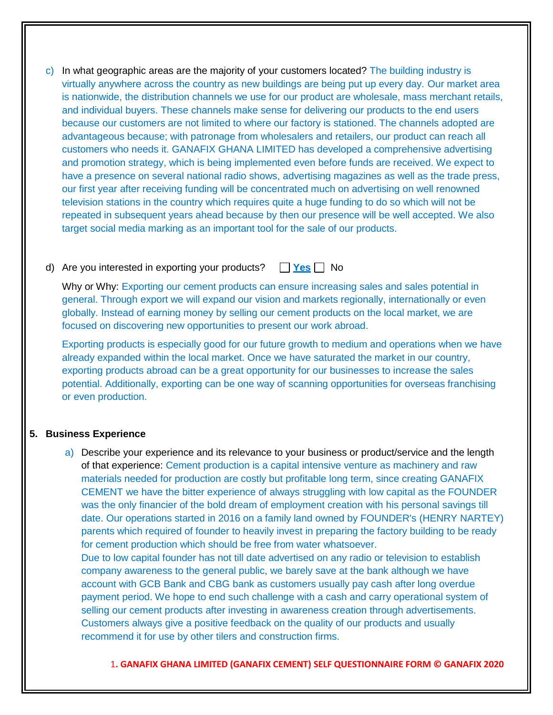c) In what geographic areas are the majority of your customers located? The building industry is virtually anywhere across the country as new buildings are being put up every day. Our market area is nationwide, the distribution channels we use for our product are wholesale, mass merchant retails, and individual buyers. These channels make sense for delivering our products to the end users because our customers are not limited to where our factory is stationed. The channels adopted are advantageous because; with patronage from wholesalers and retailers, our product can reach all customers who needs it. GANAFIX GHANA LIMITED has developed a comprehensive advertising and promotion strategy, which is being implemented even before funds are received. We expect to have a presence on several national radio shows, advertising magazines as well as the trade press, our first year after receiving funding will be concentrated much on advertising on well renowned television stations in the country which requires quite a huge funding to do so which will not be repeated in subsequent years ahead because by then our presence will be well accepted. We also target social media marking as an important tool for the sale of our products.

# d) Are you interested in exporting your products? **Yes** No

Why or Why: Exporting our cement products can ensure increasing sales and sales potential in general. Through export we will expand our vision and markets regionally, internationally or even globally. Instead of earning money by selling our cement products on the local market, we are focused on discovering new opportunities to present our work abroad.

Exporting products is especially good for our future growth to medium and operations when we have already expanded within the local market. Once we have saturated the market in our country, exporting products abroad can be a great opportunity for our businesses to increase the sales potential. Additionally, exporting can be one way of scanning opportunities for overseas franchising or even production.

# **5. Business Experience**

a) Describe your experience and its relevance to your business or product/service and the length of that experience: Cement production is a capital intensive venture as machinery and raw materials needed for production are costly but profitable long term, since creating GANAFIX CEMENT we have the bitter experience of always struggling with low capital as the FOUNDER was the only financier of the bold dream of employment creation with his personal savings till date. Our operations started in 2016 on a family land owned by FOUNDER's (HENRY NARTEY) parents which required of founder to heavily invest in preparing the factory building to be ready for cement production which should be free from water whatsoever.

Due to low capital founder has not till date advertised on any radio or television to establish company awareness to the general public, we barely save at the bank although we have account with GCB Bank and CBG bank as customers usually pay cash after long overdue payment period. We hope to end such challenge with a cash and carry operational system of selling our cement products after investing in awareness creation through advertisements. Customers always give a positive feedback on the quality of our products and usually recommend it for use by other tilers and construction firms.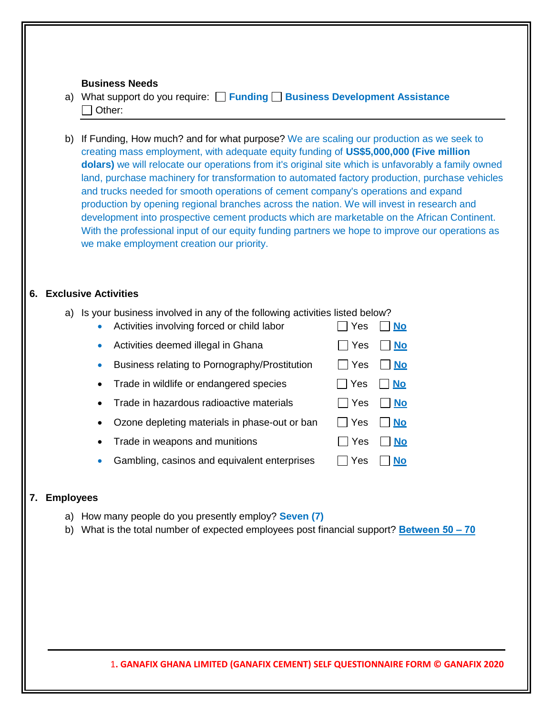#### **Business Needs**

- a) What support do you require: **Funding Business Development Assistance**  $\Box$  Other:
- b) If Funding, How much? and for what purpose? We are scaling our production as we seek to creating mass employment, with adequate equity funding of **US\$5,000,000 (Five million dolars)** we will relocate our operations from it's original site which is unfavorably a family owned land, purchase machinery for transformation to automated factory production, purchase vehicles and trucks needed for smooth operations of cement company's operations and expand production by opening regional branches across the nation. We will invest in research and development into prospective cement products which are marketable on the African Continent. With the professional input of our equity funding partners we hope to improve our operations as we make employment creation our priority.

# **6. Exclusive Activities**

a) Is your business involved in any of the following activities listed below?

|           | Activities involving forced or child labor    | Yes        | <b>No</b> |
|-----------|-----------------------------------------------|------------|-----------|
|           | Activities deemed illegal in Ghana            | $\Box$ Yes | <b>No</b> |
|           | Business relating to Pornography/Prostitution | ∣ ∣ Yes    | <u>No</u> |
| $\bullet$ | Trade in wildlife or endangered species       | Yes        | <b>No</b> |
| $\bullet$ | Trade in hazardous radioactive materials      | l IYes     | <b>No</b> |
| $\bullet$ | Ozone depleting materials in phase-out or ban | $\Box$ Yes | l No      |
| $\bullet$ | Trade in weapons and munitions                | Yes        | <b>No</b> |
|           | Gambling, casinos and equivalent enterprises  | Yes        |           |

#### **7. Employees**

- a) How many people do you presently employ? **Seven (7)**
- b) What is the total number of expected employees post financial support? **Between 50 ‒ 70**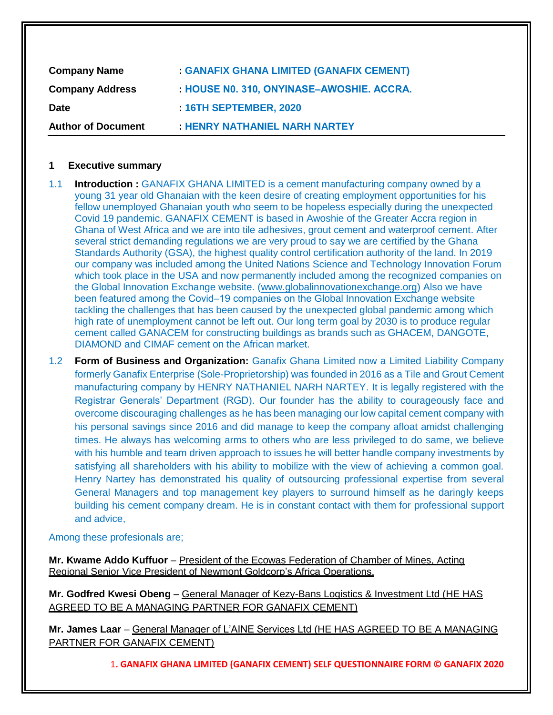| <b>Company Name</b>       | <b>GANAFIX GHANA LIMITED (GANAFIX CEMENT)</b> |
|---------------------------|-----------------------------------------------|
| <b>Company Address</b>    | : HOUSE NO. 310, ONYINASE-AWOSHIE. ACCRA.     |
| <b>Date</b>               | 16TH SEPTEMBER, 2020                          |
| <b>Author of Document</b> | <b>HENRY NATHANIEL NARH NARTEY</b>            |

#### **1 Executive summary**

- 1.1 **Introduction :** GANAFIX GHANA LIMITED is a cement manufacturing company owned by a young 31 year old Ghanaian with the keen desire of creating employment opportunities for his fellow unemployed Ghanaian youth who seem to be hopeless especially during the unexpected Covid 19 pandemic. GANAFIX CEMENT is based in Awoshie of the Greater Accra region in Ghana of West Africa and we are into tile adhesives, grout cement and waterproof cement. After several strict demanding regulations we are very proud to say we are certified by the Ghana Standards Authority (GSA), the highest quality control certification authority of the land. In 2019 our company was included among the United Nations Science and Technology Innovation Forum which took place in the USA and now permanently included among the recognized companies on the Global Innovation Exchange website. [\(www.globalinnovationexchange.org\)](http://www.globalinnovationexchange.org/) Also we have been featured among the Covid–19 companies on the Global Innovation Exchange website tackling the challenges that has been caused by the unexpected global pandemic among which high rate of unemployment cannot be left out. Our long term goal by 2030 is to produce regular cement called GANACEM for constructing buildings as brands such as GHACEM, DANGOTE, DIAMOND and CIMAF cement on the African market.
- 1.2 **Form of Business and Organization:** Ganafix Ghana Limited now a Limited Liability Company formerly Ganafix Enterprise (Sole-Proprietorship) was founded in 2016 as a Tile and Grout Cement manufacturing company by HENRY NATHANIEL NARH NARTEY. It is legally registered with the Registrar Generals' Department (RGD). Our founder has the ability to courageously face and overcome discouraging challenges as he has been managing our low capital cement company with his personal savings since 2016 and did manage to keep the company afloat amidst challenging times. He always has welcoming arms to others who are less privileged to do same, we believe with his humble and team driven approach to issues he will better handle company investments by satisfying all shareholders with his ability to mobilize with the view of achieving a common goal. Henry Nartey has demonstrated his quality of outsourcing professional expertise from several General Managers and top management key players to surround himself as he daringly keeps building his cement company dream. He is in constant contact with them for professional support and advice,

Among these profesionals are;

**Mr. Kwame Addo Kuffuor** – President of the Ecowas Federation of Chamber of Mines, Acting Regional Senior Vice President of Newmont Goldcorp's Africa Operations.

**Mr. Godfred Kwesi Obeng** – General Manager of Kezy-Bans Logistics & Investment Ltd (HE HAS AGREED TO BE A MANAGING PARTNER FOR GANAFIX CEMENT)

**Mr. James Laar** ‒ General Manager of L'AINE Services Ltd (HE HAS AGREED TO BE A MANAGING PARTNER FOR GANAFIX CEMENT)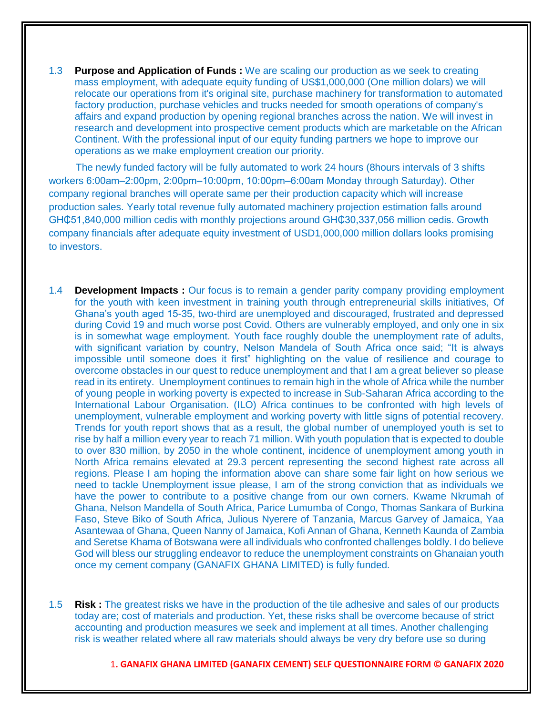1.3 **Purpose and Application of Funds :** We are scaling our production as we seek to creating mass employment, with adequate equity funding of US\$1,000,000 (One million dolars) we will relocate our operations from it's original site, purchase machinery for transformation to automated factory production, purchase vehicles and trucks needed for smooth operations of company's affairs and expand production by opening regional branches across the nation. We will invest in research and development into prospective cement products which are marketable on the African Continent. With the professional input of our equity funding partners we hope to improve our operations as we make employment creation our priority.

 The newly funded factory will be fully automated to work 24 hours (8hours intervals of 3 shifts workers 6:00am‒2:00pm, 2:00pm‒10:00pm, 10:00pm‒6:00am Monday through Saturday). Other company regional branches will operate same per their production capacity which will increase production sales. Yearly total revenue fully automated machinery projection estimation falls around GH¢51,840,000 million cedis with monthly projections around GH¢30,337,056 million cedis. Growth company financials after adequate equity investment of USD1,000,000 million dollars looks promising to investors.

- 1.4 **Development Impacts :** Our focus is to remain a gender parity company providing employment for the youth with keen investment in training youth through entrepreneurial skills initiatives, Of Ghana's youth aged 15-35, two-third are unemployed and discouraged, frustrated and depressed during Covid 19 and much worse post Covid. Others are vulnerably employed, and only one in six is in somewhat wage employment. Youth face roughly double the unemployment rate of adults, with significant variation by country, Nelson Mandela of South Africa once said; "It is always impossible until someone does it first" highlighting on the value of resilience and courage to overcome obstacles in our quest to reduce unemployment and that I am a great believer so please read in its entirety. Unemployment continues to remain high in the whole of Africa while the number of young people in working poverty is expected to increase in Sub-Saharan Africa according to the International Labour Organisation. (ILO) Africa continues to be confronted with high levels of unemployment, vulnerable employment and working poverty with little signs of potential recovery. Trends for youth report shows that as a result, the global number of unemployed youth is set to rise by half a million every year to reach 71 million. With youth population that is expected to double to over 830 million, by 2050 in the whole continent, incidence of unemployment among youth in North Africa remains elevated at 29.3 percent representing the second highest rate across all regions. Please I am hoping the information above can share some fair light on how serious we need to tackle Unemployment issue please, I am of the strong conviction that as individuals we have the power to contribute to a positive change from our own corners. Kwame Nkrumah of Ghana, Nelson Mandella of South Africa, Parice Lumumba of Congo, Thomas Sankara of Burkina Faso, Steve Biko of South Africa, Julious Nyerere of Tanzania, Marcus Garvey of Jamaica, Yaa Asantewaa of Ghana, Queen Nanny of Jamaica, Kofi Annan of Ghana, Kenneth Kaunda of Zambia and Seretse Khama of Botswana were all individuals who confronted challenges boldly. I do believe God will bless our struggling endeavor to reduce the unemployment constraints on Ghanaian youth once my cement company (GANAFIX GHANA LIMITED) is fully funded.
- 1.5 **Risk :** The greatest risks we have in the production of the tile adhesive and sales of our products today are; cost of materials and production. Yet, these risks shall be overcome because of strict accounting and production measures we seek and implement at all times. Another challenging risk is weather related where all raw materials should always be very dry before use so during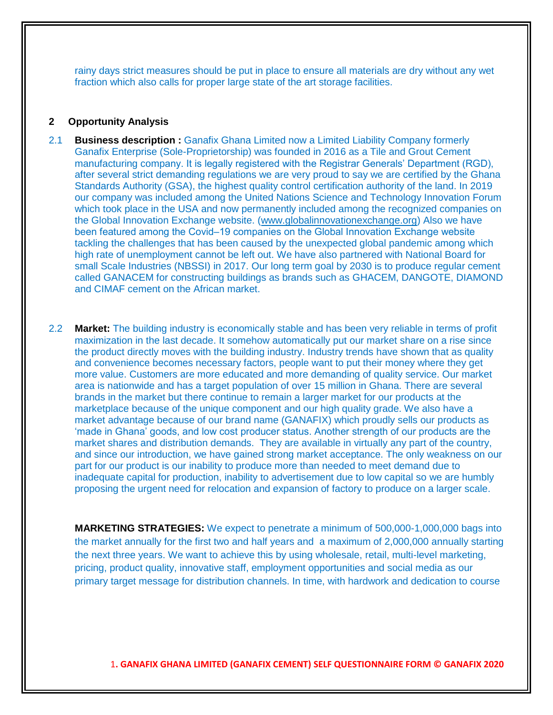rainy days strict measures should be put in place to ensure all materials are dry without any wet fraction which also calls for proper large state of the art storage facilities.

#### **2 Opportunity Analysis**

- 2.1 **Business description :** Ganafix Ghana Limited now a Limited Liability Company formerly Ganafix Enterprise (Sole-Proprietorship) was founded in 2016 as a Tile and Grout Cement manufacturing company. It is legally registered with the Registrar Generals' Department (RGD), after several strict demanding regulations we are very proud to say we are certified by the Ghana Standards Authority (GSA), the highest quality control certification authority of the land. In 2019 our company was included among the United Nations Science and Technology Innovation Forum which took place in the USA and now permanently included among the recognized companies on the Global Innovation Exchange website. [\(www.globalinnovationexchange.org\)](http://www.globalinnovationexchange.org/) Also we have been featured among the Covid–19 companies on the Global Innovation Exchange website tackling the challenges that has been caused by the unexpected global pandemic among which high rate of unemployment cannot be left out. We have also partnered with National Board for small Scale Industries (NBSSI) in 2017. Our long term goal by 2030 is to produce regular cement called GANACEM for constructing buildings as brands such as GHACEM, DANGOTE, DIAMOND and CIMAF cement on the African market.
- 2.2 **Market:** The building industry is economically stable and has been very reliable in terms of profit maximization in the last decade. It somehow automatically put our market share on a rise since the product directly moves with the building industry. Industry trends have shown that as quality and convenience becomes necessary factors, people want to put their money where they get more value. Customers are more educated and more demanding of quality service. Our market area is nationwide and has a target population of over 15 million in Ghana. There are several brands in the market but there continue to remain a larger market for our products at the marketplace because of the unique component and our high quality grade. We also have a market advantage because of our brand name (GANAFIX) which proudly sells our products as 'made in Ghana' goods, and low cost producer status. Another strength of our products are the market shares and distribution demands. They are available in virtually any part of the country, and since our introduction, we have gained strong market acceptance. The only weakness on our part for our product is our inability to produce more than needed to meet demand due to inadequate capital for production, inability to advertisement due to low capital so we are humbly proposing the urgent need for relocation and expansion of factory to produce on a larger scale.

**MARKETING STRATEGIES:** We expect to penetrate a minimum of 500,000-1,000,000 bags into the market annually for the first two and half years and a maximum of 2,000,000 annually starting the next three years. We want to achieve this by using wholesale, retail, multi-level marketing, pricing, product quality, innovative staff, employment opportunities and social media as our primary target message for distribution channels. In time, with hardwork and dedication to course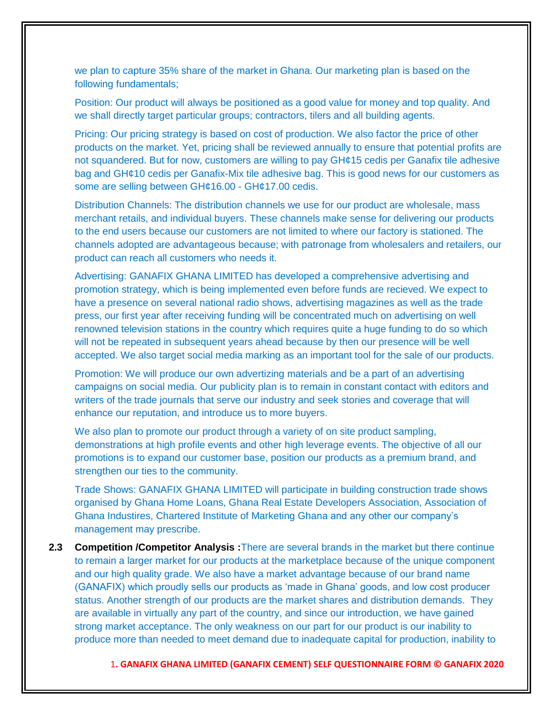we plan to capture 35% share of the market in Ghana. Our marketing plan is based on the following fundamentals;

Position: Our product will always be positioned as a good value for money and top quality. And we shall directly target particular groups; contractors, tilers and all building agents.

Pricing: Our pricing strategy is based on cost of production. We also factor the price of other products on the market. Yet, pricing shall be reviewed annually to ensure that potential profits are not squandered. But for now, customers are willing to pay GH¢15 cedis per Ganafix tile adhesive bag and GH¢10 cedis per Ganafix-Mix tile adhesive bag. This is good news for our customers as some are selling between GH¢16.00 - GH¢17.00 cedis.

Distribution Channels: The distribution channels we use for our product are wholesale, mass merchant retails, and individual buyers. These channels make sense for delivering our products to the end users because our customers are not limited to where our factory is stationed. The channels adopted are advantageous because; with patronage from wholesalers and retailers, our product can reach all customers who needs it.

Advertising: GANAFIX GHANA LIMITED has developed a comprehensive advertising and promotion strategy, which is being implemented even before funds are recieved. We expect to have a presence on several national radio shows, advertising magazines as well as the trade press, our first year after receiving funding will be concentrated much on advertising on well renowned television stations in the country which requires quite a huge funding to do so which will not be repeated in subsequent years ahead because by then our presence will be well accepted. We also target social media marking as an important tool for the sale of our products.

Promotion: We will produce our own advertizing materials and be a part of an advertising campaigns on social media. Our publicity plan is to remain in constant contact with editors and writers of the trade journals that serve our industry and seek stories and coverage that will enhance our reputation, and introduce us to more buyers.

We also plan to promote our product through a variety of on site product sampling, demonstrations at high profile events and other high leverage events. The objective of all our promotions is to expand our customer base, position our products as a premium brand, and strengthen our ties to the community.

Trade Shows: GANAFIX GHANA LIMITED will participate in building construction trade shows organised by Ghana Home Loans, Ghana Real Estate Developers Association, Association of Ghana Industires, Chartered Institute of Marketing Ghana and any other our company's management may prescribe.

**2.3 Competition /Competitor Analysis :**There are several brands in the market but there continue to remain a larger market for our products at the marketplace because of the unique component and our high quality grade. We also have a market advantage because of our brand name (GANAFIX) which proudly sells our products as 'made in Ghana' goods, and low cost producer status. Another strength of our products are the market shares and distribution demands. They are available in virtually any part of the country, and since our introduction, we have gained strong market acceptance. The only weakness on our part for our product is our inability to produce more than needed to meet demand due to inadequate capital for production, inability to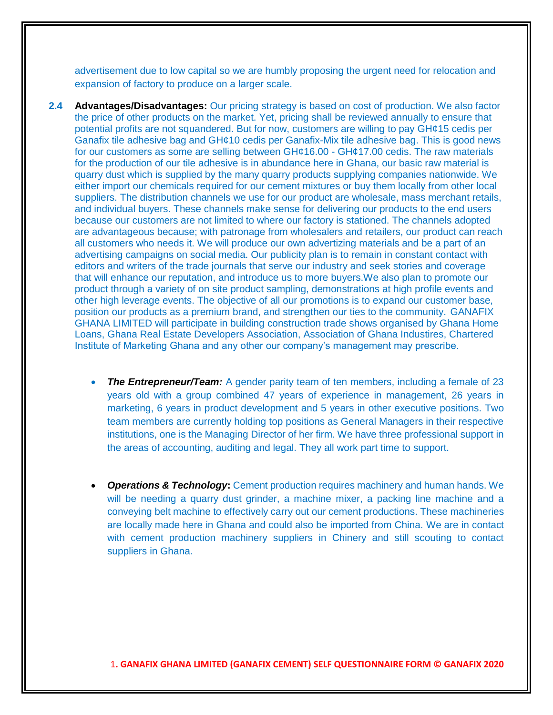advertisement due to low capital so we are humbly proposing the urgent need for relocation and expansion of factory to produce on a larger scale.

- **2.4 Advantages/Disadvantages:** Our pricing strategy is based on cost of production. We also factor the price of other products on the market. Yet, pricing shall be reviewed annually to ensure that potential profits are not squandered. But for now, customers are willing to pay GH¢15 cedis per Ganafix tile adhesive bag and GH¢10 cedis per Ganafix-Mix tile adhesive bag. This is good news for our customers as some are selling between GH¢16.00 - GH¢17.00 cedis. The raw materials for the production of our tile adhesive is in abundance here in Ghana, our basic raw material is quarry dust which is supplied by the many quarry products supplying companies nationwide. We either import our chemicals required for our cement mixtures or buy them locally from other local suppliers. The distribution channels we use for our product are wholesale, mass merchant retails, and individual buyers. These channels make sense for delivering our products to the end users because our customers are not limited to where our factory is stationed. The channels adopted are advantageous because; with patronage from wholesalers and retailers, our product can reach all customers who needs it. We will produce our own advertizing materials and be a part of an advertising campaigns on social media. Our publicity plan is to remain in constant contact with editors and writers of the trade journals that serve our industry and seek stories and coverage that will enhance our reputation, and introduce us to more buyers.We also plan to promote our product through a variety of on site product sampling, demonstrations at high profile events and other high leverage events. The objective of all our promotions is to expand our customer base, position our products as a premium brand, and strengthen our ties to the community. GANAFIX GHANA LIMITED will participate in building construction trade shows organised by Ghana Home Loans, Ghana Real Estate Developers Association, Association of Ghana Industires, Chartered Institute of Marketing Ghana and any other our company's management may prescribe.
	- **The Entrepreneur/Team:** A gender parity team of ten members, including a female of 23 years old with a group combined 47 years of experience in management, 26 years in marketing, 6 years in product development and 5 years in other executive positions. Two team members are currently holding top positions as General Managers in their respective institutions, one is the Managing Director of her firm. We have three professional support in the areas of accounting, auditing and legal. They all work part time to support.
	- **Operations & Technology:** Cement production requires machinery and human hands. We will be needing a quarry dust grinder, a machine mixer, a packing line machine and a conveying belt machine to effectively carry out our cement productions. These machineries are locally made here in Ghana and could also be imported from China. We are in contact with cement production machinery suppliers in Chinery and still scouting to contact suppliers in Ghana.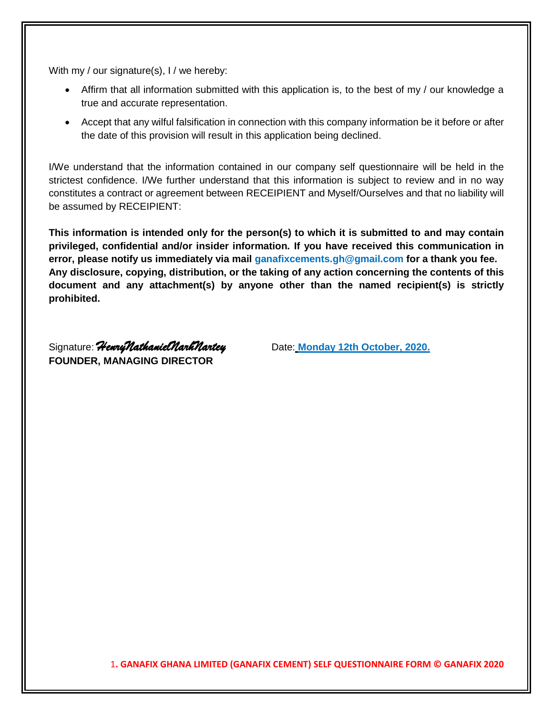With my / our signature(s), I / we hereby:

- Affirm that all information submitted with this application is, to the best of my / our knowledge a true and accurate representation.
- Accept that any wilful falsification in connection with this company information be it before or after the date of this provision will result in this application being declined.

I/We understand that the information contained in our company self questionnaire will be held in the strictest confidence. I/We further understand that this information is subject to review and in no way constitutes a contract or agreement between RECEIPIENT and Myself/Ourselves and that no liability will be assumed by RECEIPIENT:

**This information is intended only for the person(s) to which it is submitted to and may contain privileged, confidential and/or insider information. If you have received this communication in error, please notify us immediately via mail ganafixcements.gh@gmail.com for a thank you fee. Any disclosure, copying, distribution, or the taking of any action concerning the contents of this document and any attachment(s) by anyone other than the named recipient(s) is strictly prohibited.**

Signature: *HenryNathanielNarhNartey* Date: **Monday 12th October, 2020. FOUNDER, MANAGING DIRECTOR**